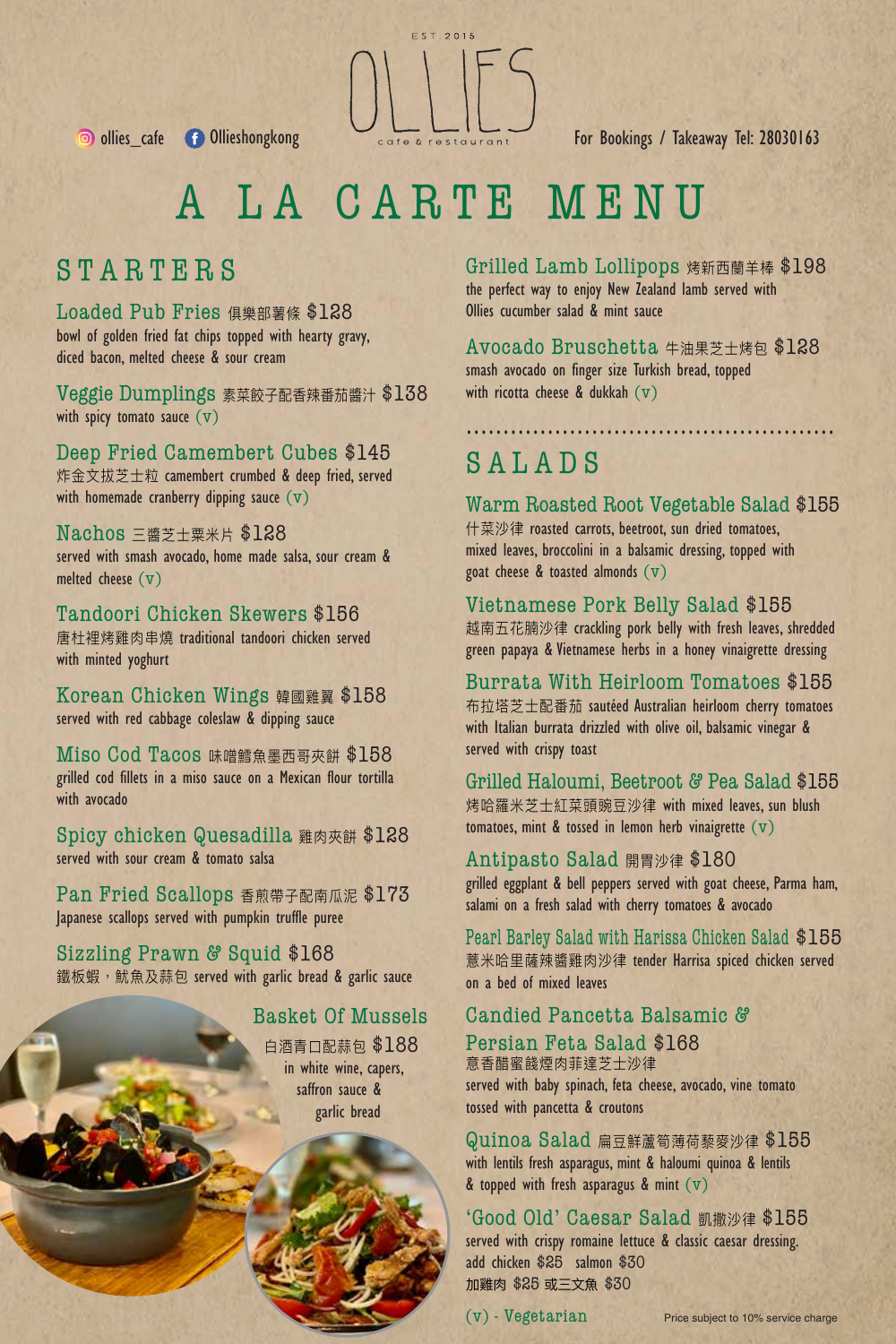

..................................................

# A LA CARTE MENU

### STARTERS

Loaded Pub Fries 俱樂部薯條 \$128 bowl of golden fried fat chips topped with hearty gravy, diced bacon, melted cheese & sour cream

Veggie Dumplings 素菜餃子配香辣番茄醬汁 \$138 with spicy tomato sauce  $(v)$ 

Deep Fried Camembert Cubes \$145 炸金文拔芝士粒 camembert crumbed & deep fried, served with homemade cranberry dipping sauce  $(v)$ 

#### Nachos 三醬芝士粟米片 \$128 served with smash avocado, home made salsa, sour cream & melted cheese (v)

Tandoori Chicken Skewers \$156 唐杜裡烤雞肉串燒 traditional tandoori chicken served with minted yoghurt

Korean Chicken Wings 韓國雞翼 \$158 served with red cabbage coleslaw & dipping sauce

Miso Cod Tacos 味噌鱈魚墨西哥夾餅 \$158 grilled cod fillets in a miso sauce on a Mexican flour tortilla with avocado

Spicy chicken Quesadilla 雞肉夾餅 \$128 served with sour cream & tomato salsa

Pan Fried Scallops 香煎帶子配南瓜泥 \$173 Japanese scallops served with pumpkin truffle puree

Sizzling Prawn & Squid \$168 鐵板蝦, 魷魚及蒜包 served with garlic bread & garlic sauce

#### Basket Of Mussels

白酒青口配蒜包 \$188 in white wine, capers, saffron sauce & garlic bread

Grilled Lamb Lollipops 烤新西蘭羊棒 \$198 the perfect way to enjoy New Zealand lamb served with Ollies cucumber salad & mint sauce

Avocado Bruschetta 牛油果芝士烤包 \$128 smash avocado on finger size Turkish bread, topped with ricotta cheese & dukkah  $(v)$ 

### SALADS

Warm Roasted Root Vegetable Salad \$155 什菜沙律 roasted carrots, beetroot, sun dried tomatoes, mixed leaves, broccolini in a balsamic dressing, topped with goat cheese  $\&$  toasted almonds  $(v)$ 

Vietnamese Pork Belly Salad \$155 越南五花腩沙律 crackling pork belly with fresh leaves, shredded green papaya & Vietnamese herbs in a honey vinaigrette dressing

Burrata With Heirloom Tomatoes \$155 布拉塔芝士配番茄 sautéed Australian heirloom cherry tomatoes with Italian burrata drizzled with olive oil, balsamic vinegar & served with crispy toast

Grilled Haloumi, Beetroot & Pea Salad \$155 烤哈羅米芝士紅菜頭豌豆沙律 with mixed leaves, sun blush tomatoes, mint & tossed in lemon herb vinaigrette  $(v)$ 

#### Antipasto Salad 開胃沙律 \$180

grilled eggplant & bell peppers served with goat cheese, Parma ham, salami on a fresh salad with cherry tomatoes & avocado

Pearl Barley Salad with Harissa Chicken Salad \$155 薏米哈里薩辣醬雞肉沙律 tender Harrisa spiced chicken served on a bed of mixed leaves

#### Candied Pancetta Balsamic &

Persian Feta Salad \$168 意香醋蜜餞煙肉菲達芝士沙律

served with baby spinach, feta cheese, avocado, vine tomato tossed with pancetta & croutons

Quinoa Salad 扁豆鮮蘆筍薄荷藜麥沙律 \$155 with lentils fresh asparagus, mint & haloumi quinoa & lentils & topped with fresh asparagus & mint  $(v)$ 

'Good Old' Caesar Salad 凱撒沙律 \$155 served with crispy romaine lettuce & classic caesar dressing. add chicken \$25 salmon \$30 加雞肉 \$25 或三文魚 \$30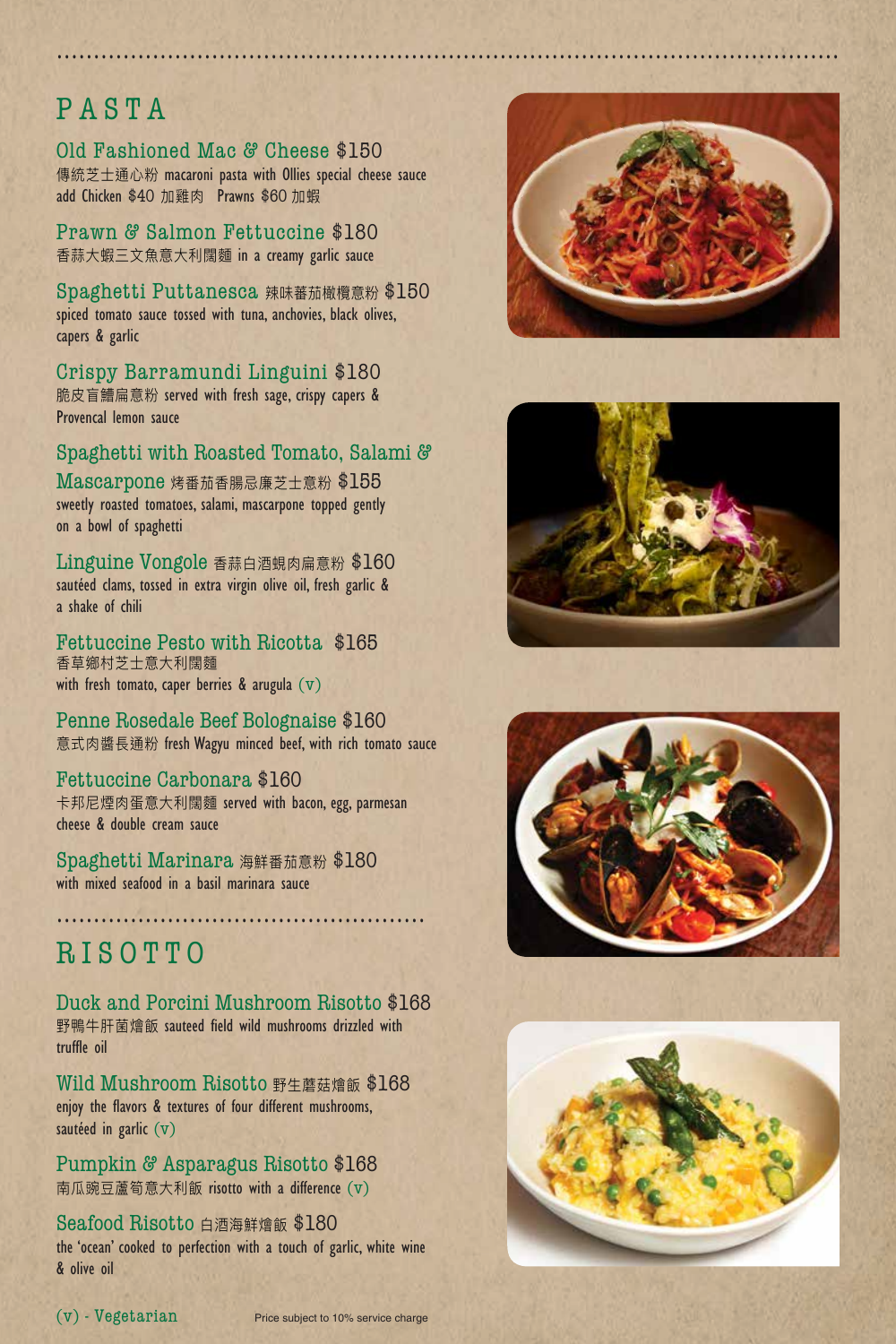## PASTA

Old Fashioned Mac & Cheese \$150

傳統芝士通心粉 macaroni pasta with Ollies special cheese sauce add Chicken \$40 加雞肉 Prawns \$60 加蝦

..........................................................................................................

Prawn & Salmon Fettuccine \$180 香蒜大蝦三文魚意大利闊麵 in a creamy garlic sauce

Spaghetti Puttanesca 辣味蕃茄橄欖意粉 \$150 spiced tomato sauce tossed with tuna, anchovies, black olives, capers & garlic

Crispy Barramundi Linguini \$180 脆皮盲鰽扁意粉 served with fresh sage, crispy capers & Provencal lemon sauce

#### Spaghetti with Roasted Tomato, Salami &

Mascarpone 烤番茄香腸忌廉芝士意粉 \$155 sweetly roasted tomatoes, salami, mascarpone topped gently on a bowl of spaghetti

Linguine Vongole 香蒜白酒蜆肉扁意粉 \$160 sautéed clams, tossed in extra virgin olive oil, fresh garlic & a shake of chili

Fettuccine Pesto with Ricotta \$165 香草鄉村芝士意大利闊麵 with fresh tomato, caper berries  $\&$  arugula  $(v)$ 

Penne Rosedale Beef Bolognaise \$160 意式肉醬長通粉 fresh Wagyu minced beef, with rich tomato sauce

Fettuccine Carbonara \$160 卡邦尼煙肉蛋意大利闊麵 served with bacon, egg, parmesan cheese & double cream sauce

Spaghetti Marinara 海鮮番茄意粉 \$180 with mixed seafood in a basil marinara sauce

### RISOTTO

Duck and Porcini Mushroom Risotto \$168 野鴨牛肝菌燴飯 sauteed field wild mushrooms drizzled with truffle oil

..................................................

Wild Mushroom Risotto 野生蘑菇燴飯 \$168 enjoy the flavors & textures of four different mushrooms, sautéed in garlic (v)

Pumpkin & Asparagus Risotto \$168 南瓜豌豆蘆筍意大利飯 risotto with a difference (v)

**Seafood Risotto 白酒海鮮燴飯 \$180** the 'ocean' cooked to perfection with a touch of garlic, white wine & olive oil







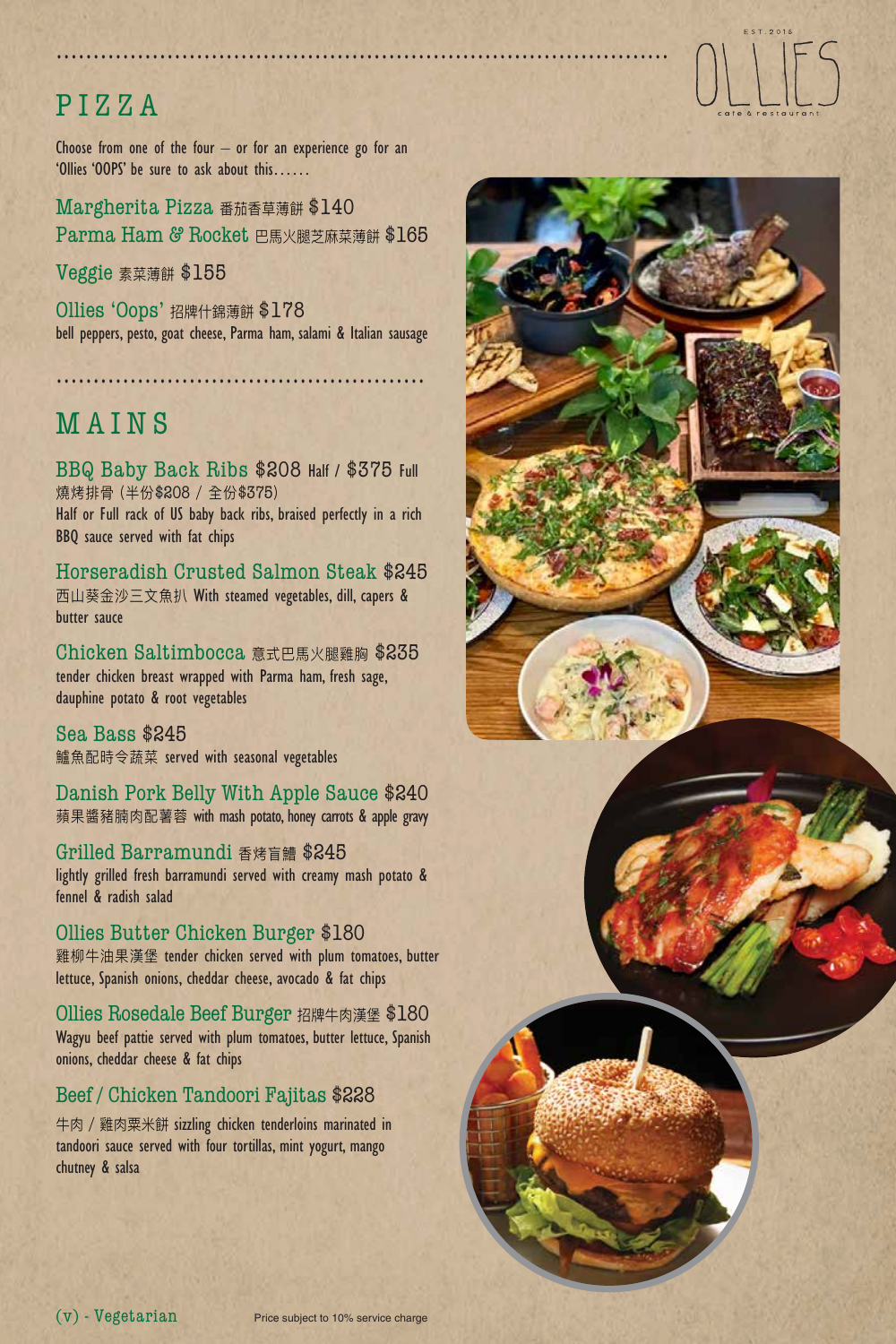# PIZZA

Choose from one of the four  $-$  or for an experience go for an 'Ollies 'OOPS' be sure to ask about this……

Margherita Pizza 番茄香草薄餅 \$140 Parma Ham & Rocket 巴馬火腿芝麻菜薄餅 \$165

Veggie 素菜薄餅 \$155

Ollies 'Oops' 招牌什錦薄餅 \$178 bell peppers, pesto, goat cheese, Parma ham, salami & Italian sausage

..................................................

### MAINS

BBQ Baby Back Ribs \$208 Half / \$375 Full 燒烤排骨 (半份\$208 / 全份\$375) Half or Full rack of US baby back ribs, braised perfectly in a rich BBQ sauce served with fat chips

Horseradish Crusted Salmon Steak \$245 西山葵金沙三文魚扒 With steamed vegetables, dill, capers & butter sauce

Chicken Saltimbocca 意式巴馬火腿雞胸 \$235 tender chicken breast wrapped with Parma ham, fresh sage, dauphine potato & root vegetables

Sea Bass \$245 鱸魚配時令蔬菜 served with seasonal vegetables

Danish Pork Belly With Apple Sauce \$240 蘋果醬豬腩肉配薯蓉 with mash potato, honey carrots & apple gravy

Grilled Barramundi 香烤盲鰽 \$245 lightly grilled fresh barramundi served with creamy mash potato & fennel & radish salad

Ollies Butter Chicken Burger \$180 雞柳牛油果漢堡 tender chicken served with plum tomatoes, butter lettuce, Spanish onions, cheddar cheese, avocado & fat chips

Ollies Rosedale Beef Burger 招牌牛肉漢堡 \$180 Wagyu beef pattie served with plum tomatoes, butter lettuce, Spanish onions, cheddar cheese & fat chips

#### Beef / Chicken Tandoori Fajitas \$228

牛肉 / 雞肉粟米餅 sizzling chicken tenderloins marinated in tandoori sauce served with four tortillas, mint yogurt, mango chutney & salsa